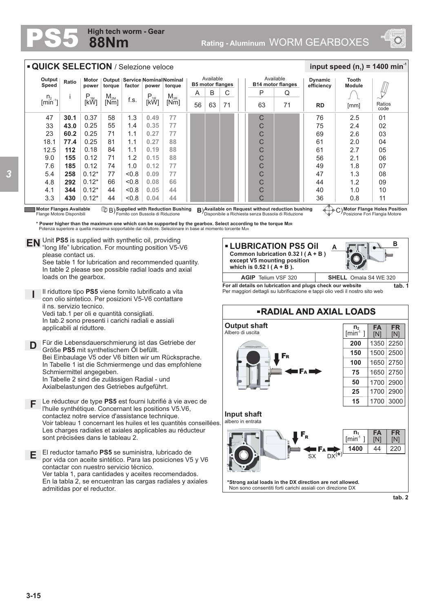## **88Nm High tech worm - Gear**



| <b>QUICK SELECTION / Selezione veloce</b>                                                                                                                    |                                                                                                                                                                                                                                                                                                                                                                                                                                                                                                                                                                                        |                  |                  |        |               |                                              |    |                                      |    |                                       |    |                              | input speed $(n_1)$ = 1400 min <sup>-1</sup> |      |                |
|--------------------------------------------------------------------------------------------------------------------------------------------------------------|----------------------------------------------------------------------------------------------------------------------------------------------------------------------------------------------------------------------------------------------------------------------------------------------------------------------------------------------------------------------------------------------------------------------------------------------------------------------------------------------------------------------------------------------------------------------------------------|------------------|------------------|--------|---------------|----------------------------------------------|----|--------------------------------------|----|---------------------------------------|----|------------------------------|----------------------------------------------|------|----------------|
| Output<br>Speed                                                                                                                                              | Ratio                                                                                                                                                                                                                                                                                                                                                                                                                                                                                                                                                                                  | Motor<br>power   | torque           | factor | power         | Output   Service   Nominal Nominal<br>toraue |    | Available<br><b>B5 motor flanges</b> |    | Available<br><b>B14 motor flanges</b> |    | <b>Dynamic</b><br>efficiency | Tooth<br><b>Module</b>                       |      |                |
| $n_{2}$                                                                                                                                                      |                                                                                                                                                                                                                                                                                                                                                                                                                                                                                                                                                                                        |                  |                  |        |               | $M_{2R}$                                     | Α  | B                                    | C  |                                       | P  | Q                            |                                              |      |                |
| $\left[\text{min}^{\text{-}1}\right]$                                                                                                                        |                                                                                                                                                                                                                                                                                                                                                                                                                                                                                                                                                                                        | $P_{1M}$<br>[kW] | $M_{2M}$<br>[Nm] | f.s.   | $P_{1R}$ [kŴ] | [Nm]                                         | 56 | 63                                   | 71 |                                       | 63 | 71                           | <b>RD</b>                                    | [mm] | Ratios<br>code |
| 47                                                                                                                                                           | 30.1                                                                                                                                                                                                                                                                                                                                                                                                                                                                                                                                                                                   | 0.37             | 58               | 1.3    | 0.49          | 77                                           |    |                                      |    |                                       | C  |                              | 76                                           | 2.5  | 01             |
| 33                                                                                                                                                           | 43.0                                                                                                                                                                                                                                                                                                                                                                                                                                                                                                                                                                                   | 0.25             | 55               | 1.4    | 0.35          | 77                                           |    |                                      |    |                                       | C  |                              | 75                                           | 2.4  | 02             |
| 23                                                                                                                                                           | 60.2                                                                                                                                                                                                                                                                                                                                                                                                                                                                                                                                                                                   | 0.25             | 71               | 1.1    | 0.27          | 77                                           |    |                                      |    |                                       | C  |                              | 69                                           | 2.6  | 03             |
| 18.1                                                                                                                                                         | 77.4                                                                                                                                                                                                                                                                                                                                                                                                                                                                                                                                                                                   | 0.25             | 81               | 1.1    | 0.27          | 88                                           |    |                                      |    |                                       | C  |                              | 61                                           | 2.0  | 04             |
| 12.5                                                                                                                                                         | 112                                                                                                                                                                                                                                                                                                                                                                                                                                                                                                                                                                                    | 0.18             | 84               | 1.1    | 0.19          | 88                                           |    |                                      |    |                                       | С  |                              | 61                                           | 2.7  | 05             |
| 9.0                                                                                                                                                          | 155                                                                                                                                                                                                                                                                                                                                                                                                                                                                                                                                                                                    | 0.12             | 71               | 1.2    | 0.15          | 88                                           |    |                                      |    |                                       | С  |                              | 56                                           | 2.1  | 06             |
| 7.6                                                                                                                                                          | 185                                                                                                                                                                                                                                                                                                                                                                                                                                                                                                                                                                                    | 0.12             | 74               | 1.0    | 0.12          | 77                                           |    |                                      |    |                                       | C  |                              | 49                                           | 1.8  | 07             |
| 5.4                                                                                                                                                          | 258                                                                                                                                                                                                                                                                                                                                                                                                                                                                                                                                                                                    | $0.12*$          | 77               | < 0.8  | 0.09          | 77                                           |    |                                      |    |                                       | C  |                              | 47                                           | 1.3  | 08             |
| 4.8                                                                                                                                                          | 292                                                                                                                                                                                                                                                                                                                                                                                                                                                                                                                                                                                    | $0.12*$          | 66               | &0.8   | 0.08          | 66                                           |    |                                      |    |                                       | C  |                              | 44                                           | 1.2  | 09             |
| 4.1                                                                                                                                                          | 344                                                                                                                                                                                                                                                                                                                                                                                                                                                                                                                                                                                    | $0.12*$          | 44               | &0.8   | 0.05          | 44                                           |    |                                      |    |                                       | С  |                              | 40                                           | 1.0  | 10             |
| 3.3                                                                                                                                                          | 430                                                                                                                                                                                                                                                                                                                                                                                                                                                                                                                                                                                    | $0.12*$          | 44               | 0.8    | 0.04          | 44                                           |    |                                      |    |                                       | C  |                              | 36                                           | 0.8  | 11             |
|                                                                                                                                                              | <b>Motor Flanges Available</b><br><b>B</b> ) Supplied with Reduction Bushing<br>B) Available on Request without reduction bushing<br>⊕்ம் ∩)Motor Flange Holes Position<br>Fornito con Bussola di Riduzione<br>Posizione Fori Flangia Motore<br>Disponibile a Richiesta senza Bussola di Riduzione<br>Flange Motore Disponibili<br>* Power higher than the maximum one which can be supported by the gearbox. Select according to the torque M <sub>2R</sub><br>Potenza superiore a quella massima sopportabile dal riduttore. Selezionare in base al momento torcente M <sub>2R</sub> |                  |                  |        |               |                                              |    |                                      |    |                                       |    |                              |                                              |      |                |
| Unit PS5 is supplied with synthetic oil, providing<br><b>EN</b><br><b>- LUBRICATION PS5 Oil</b><br>'long life" lubrication. For mounting position V5-V6<br>A |                                                                                                                                                                                                                                                                                                                                                                                                                                                                                                                                                                                        |                  |                  |        |               |                                              |    |                                      |    |                                       |    |                              | в                                            |      |                |

please contact us. See table 1 for lubrication and recommended quantity. In table 2 please see possible radial loads and axial loads on the gearbox.

- **I** Il riduttore tipo **PS5** viene fornito lubrificato a vita con olio sintetico. Per posizioni V5-V6 contattare il ns. servizio tecnico. Vedi tab.1 per oli e quantità consigliati. In tab.2 sono presenti i carichi radiali e assiali applicabili al riduttore.
- **D** Für die Lebensdauerschmierung ist das Getriebe der<br>
Größe PS5 mit synthetischem Öl befüllt Größe **PS5** mit synthetischem Öl befüllt. Bei Einbaulage V5 oder V6 bitten wir um Rücksprache. In Tabelle 1 ist die Schmiermenge und das empfohlene Schmiermittel angegeben. In Tabelle 2 sind die zulässigen Radial - und Axialbelastungen des Getriebes aufgeführt.
- **F** Le réducteur de type **PS5** est fourni lubrifié à vie avec de l'huile synthétique. Concernant les positions V5.V6, contactez notre service d'assistance technique. Voir tableau 1 concernant les huiles et les quantités conseillées. Les charges radiales et axiales applicables au réducteur sont précisées dans le tableau 2.
- **E** El reductor tamaño **PS5** se suministra, lubricado de por vida con aceite sintético. Para las posiciones V5 y V6 contactar con nuestro servicio técnico. Ver tabla 1, para cantidades y aceites recomendados. En la tabla 2, se encuentran las cargas radiales y axiales admitidas por el reductor.

**Common lubrication 0.32 l ( A + B ) except V5 mounting position which is 0.52 l ( A + B ).** 

**AGIP** Telium VSF 320



**For all details on lubrication and plugs check our website <b>tab.** 1 Per maggiori dettagli su lubrificazione e tappi olio vedi il nostro sito web